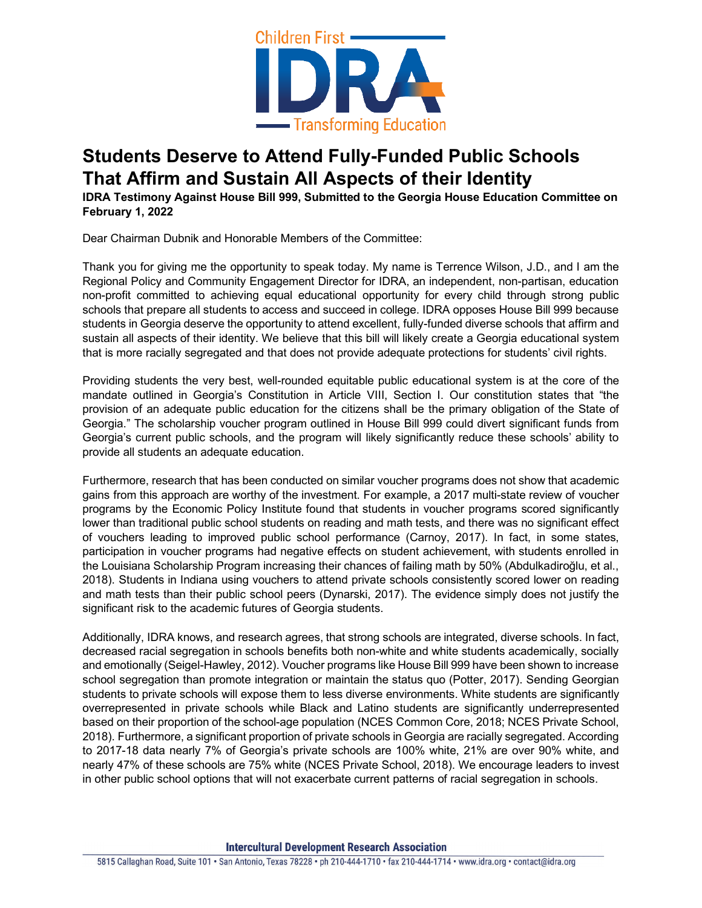

## **Students Deserve to Attend Fully-Funded Public Schools That Affirm and Sustain All Aspects of their Identity**

**IDRA Testimony Against House Bill 999, Submitted to the Georgia House Education Committee on February 1, 2022**

Dear Chairman Dubnik and Honorable Members of the Committee:

Thank you for giving me the opportunity to speak today. My name is Terrence Wilson, J.D., and I am the Regional Policy and Community Engagement Director for IDRA, an independent, non-partisan, education non-profit committed to achieving equal educational opportunity for every child through strong public schools that prepare all students to access and succeed in college. IDRA opposes House Bill 999 because students in Georgia deserve the opportunity to attend excellent, fully-funded diverse schools that affirm and sustain all aspects of their identity. We believe that this bill will likely create a Georgia educational system that is more racially segregated and that does not provide adequate protections for students' civil rights.

Providing students the very best, well-rounded equitable public educational system is at the core of the mandate outlined in Georgia's Constitution in Article VIII, Section I. Our constitution states that "the provision of an adequate public education for the citizens shall be the primary obligation of the State of Georgia." The scholarship voucher program outlined in House Bill 999 could divert significant funds from Georgia's current public schools, and the program will likely significantly reduce these schools' ability to provide all students an adequate education.

Furthermore, research that has been conducted on similar voucher programs does not show that academic gains from this approach are worthy of the investment. For example, a 2017 multi-state review of voucher programs by the Economic Policy Institute found that students in voucher programs scored significantly lower than traditional public school students on reading and math tests, and there was no significant effect of vouchers leading to improved public school performance (Carnoy, 2017). In fact, in some states, participation in voucher programs had negative effects on student achievement, with students enrolled in the Louisiana Scholarship Program increasing their chances of failing math by 50% (Abdulkadiroğlu, et al., 2018). Students in Indiana using vouchers to attend private schools consistently scored lower on reading and math tests than their public school peers (Dynarski, 2017). The evidence simply does not justify the significant risk to the academic futures of Georgia students.

Additionally, IDRA knows, and research agrees, that strong schools are integrated, diverse schools. In fact, decreased racial segregation in schools benefits both non-white and white students academically, socially and emotionally (Seigel-Hawley, 2012). Voucher programs like House Bill 999 have been shown to increase school segregation than promote integration or maintain the status quo (Potter, 2017). Sending Georgian students to private schools will expose them to less diverse environments. White students are significantly overrepresented in private schools while Black and Latino students are significantly underrepresented based on their proportion of the school-age population (NCES Common Core, 2018; NCES Private School, 2018). Furthermore, a significant proportion of private schools in Georgia are racially segregated. According to 2017-18 data nearly 7% of Georgia's private schools are 100% white, 21% are over 90% white, and nearly 47% of these schools are 75% white (NCES Private School, 2018). We encourage leaders to invest in other public school options that will not exacerbate current patterns of racial segregation in schools.

**Intercultural Development Research Association**